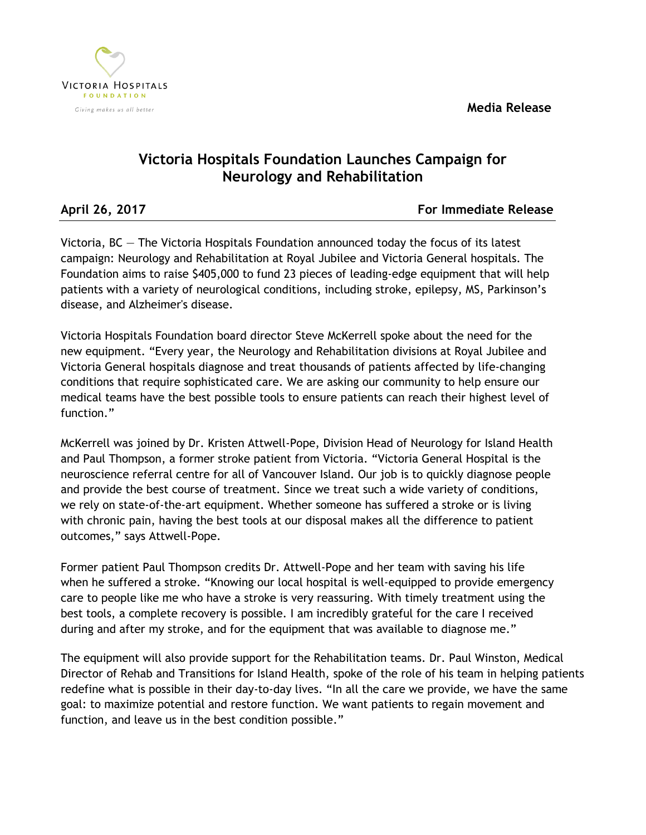**Media Release**



## **Victoria Hospitals Foundation Launches Campaign for Neurology and Rehabilitation**

**April 26, 2017 For Immediate Release**

Victoria, BC — The Victoria Hospitals Foundation announced today the focus of its latest campaign: Neurology and Rehabilitation at Royal Jubilee and Victoria General hospitals. The Foundation aims to raise \$405,000 to fund 23 pieces of leading-edge equipment that will help patients with a variety of neurological conditions, including stroke, epilepsy, MS, Parkinson's disease, and Alzheimer's disease.

Victoria Hospitals Foundation board director Steve McKerrell spoke about the need for the new equipment. "Every year, the Neurology and Rehabilitation divisions at Royal Jubilee and Victoria General hospitals diagnose and treat thousands of patients affected by life-changing conditions that require sophisticated care. We are asking our community to help ensure our medical teams have the best possible tools to ensure patients can reach their highest level of function."

McKerrell was joined by Dr. Kristen Attwell-Pope, Division Head of Neurology for Island Health and Paul Thompson, a former stroke patient from Victoria. "Victoria General Hospital is the neuroscience referral centre for all of Vancouver Island. Our job is to quickly diagnose people and provide the best course of treatment. Since we treat such a wide variety of conditions, we rely on state-of-the-art equipment. Whether someone has suffered a stroke or is living with chronic pain, having the best tools at our disposal makes all the difference to patient outcomes," says Attwell-Pope.

Former patient Paul Thompson credits Dr. Attwell-Pope and her team with saving his life when he suffered a stroke. "Knowing our local hospital is well-equipped to provide emergency care to people like me who have a stroke is very reassuring. With timely treatment using the best tools, a complete recovery is possible. I am incredibly grateful for the care I received during and after my stroke, and for the equipment that was available to diagnose me."

The equipment will also provide support for the Rehabilitation teams. Dr. Paul Winston, Medical Director of Rehab and Transitions for Island Health, spoke of the role of his team in helping patients redefine what is possible in their day-to-day lives. "In all the care we provide, we have the same goal: to maximize potential and restore function. We want patients to regain movement and function, and leave us in the best condition possible."